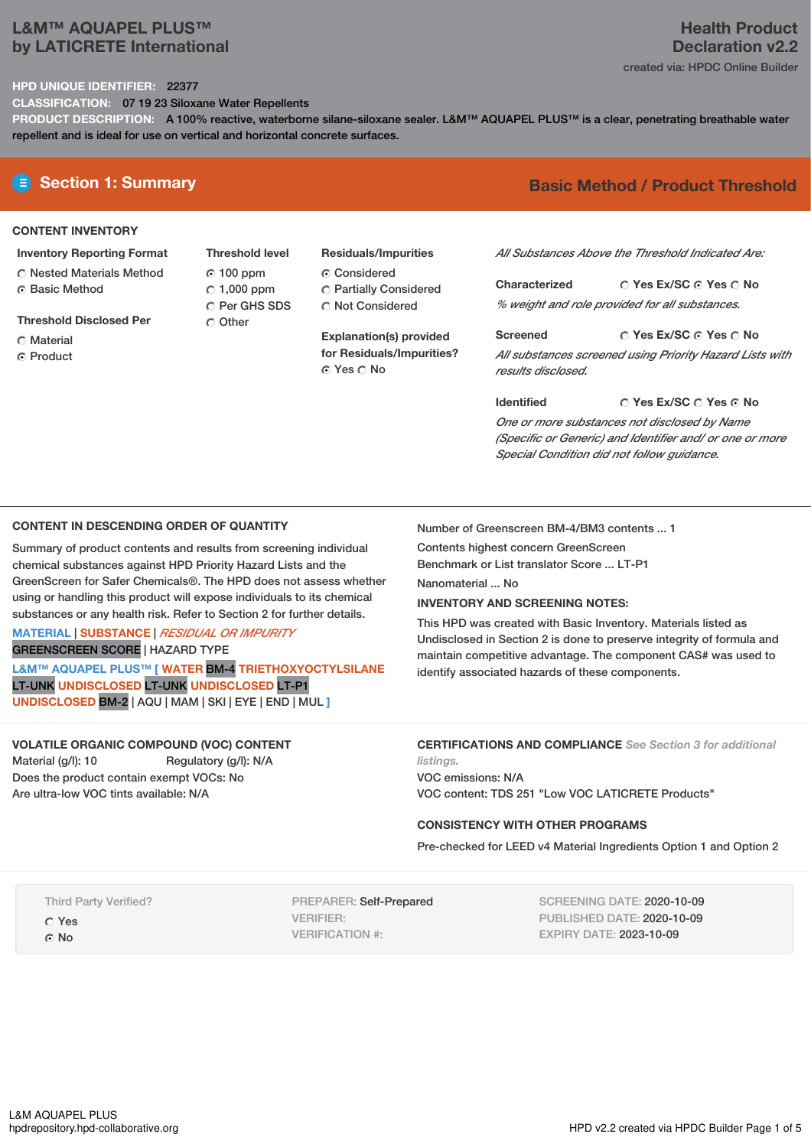# **L&M™ AQUAPEL PLUS™ by LATICRETE International**

# **Health Product Declaration v2.2**

created via: HPDC Online Builder

## **HPD UNIQUE IDENTIFIER:** 22377

**CLASSIFICATION:** 07 19 23 Siloxane Water Repellents

**PRODUCT DESCRIPTION:** A 100% reactive, waterborne silane-siloxane sealer. L&M™ AQUAPEL PLUS™ is a clear, penetrating breathable water repellent and is ideal for use on vertical and horizontal concrete surfaces.

#### **CONTENT INVENTORY**

- **Inventory Reporting Format** Nested Materials Method
- **G** Basic Method
- **Threshold Disclosed Per**
- C Material
- **C** Product
- **Threshold level** 100 ppm  $\degree$  1,000 ppm Per GHS SDS O Other
- **Residuals/Impurities** Considered Partially Considered C Not Considered

**Explanation(s) provided for Residuals/Impurities?** © Yes ∩ No

# **E** Section 1: Summary **Basic** Method / Product Threshold

*All Substances Above the Threshold Indicated Are:*

**Yes Ex/SC Yes No Characterized** *% weight and role provided for all substances.*

**Yes Ex/SC Yes No Screened** *All substances screened using Priority Hazard Lists with results disclosed.*

**Yes Ex/SC Yes No Identified** *One or more substances not disclosed by Name (Specific or Generic) and Identifier and/ or one or more Special Condition did not follow guidance.*

## **CONTENT IN DESCENDING ORDER OF QUANTITY**

Summary of product contents and results from screening individual chemical substances against HPD Priority Hazard Lists and the GreenScreen for Safer Chemicals®. The HPD does not assess whether using or handling this product will expose individuals to its chemical substances or any health risk. Refer to Section 2 for further details.

## **MATERIAL** | **SUBSTANCE** | *RESIDUAL OR IMPURITY* GREENSCREEN SCORE | HAZARD TYPE

**L&M™ AQUAPEL PLUS™ [ WATER** BM-4 **TRIETHOXYOCTYLSILANE** LT-UNK **UNDISCLOSED** LT-UNK **UNDISCLOSED** LT-P1 **UNDISCLOSED** BM-2 | AQU | MAM |SKI | EYE | END | MUL **]**

**VOLATILE ORGANIC COMPOUND (VOC) CONTENT** Material (g/l): 10 Regulatory (g/l): N/A Does the product contain exempt VOCs: No Are ultra-low VOC tints available: N/A

Number of Greenscreen BM-4/BM3 contents ... 1

Contents highest concern GreenScreen

Benchmark or List translator Score ... LT-P1

Nanomaterial ... No

## **INVENTORY AND SCREENING NOTES:**

This HPD was created with Basic Inventory. Materials listed as Undisclosed in Section 2 is done to preserve integrity of formula and maintain competitive advantage. The component CAS# was used to identify associated hazards of these components.

**CERTIFICATIONS AND COMPLIANCE** *See Section 3 for additional listings.*

VOC emissions: N/A VOC content: TDS 251 "Low VOC LATICRETE Products"

#### **CONSISTENCY WITH OTHER PROGRAMS**

Pre-checked for LEED v4 Material Ingredients Option 1 and Option 2

Third Party Verified?

Yes

G<sub>No</sub>

PREPARER: Self-Prepared VERIFIER: VERIFICATION #:

SCREENING DATE: 2020-10-09 PUBLISHED DATE: 2020-10-09 EXPIRY DATE: 2023-10-09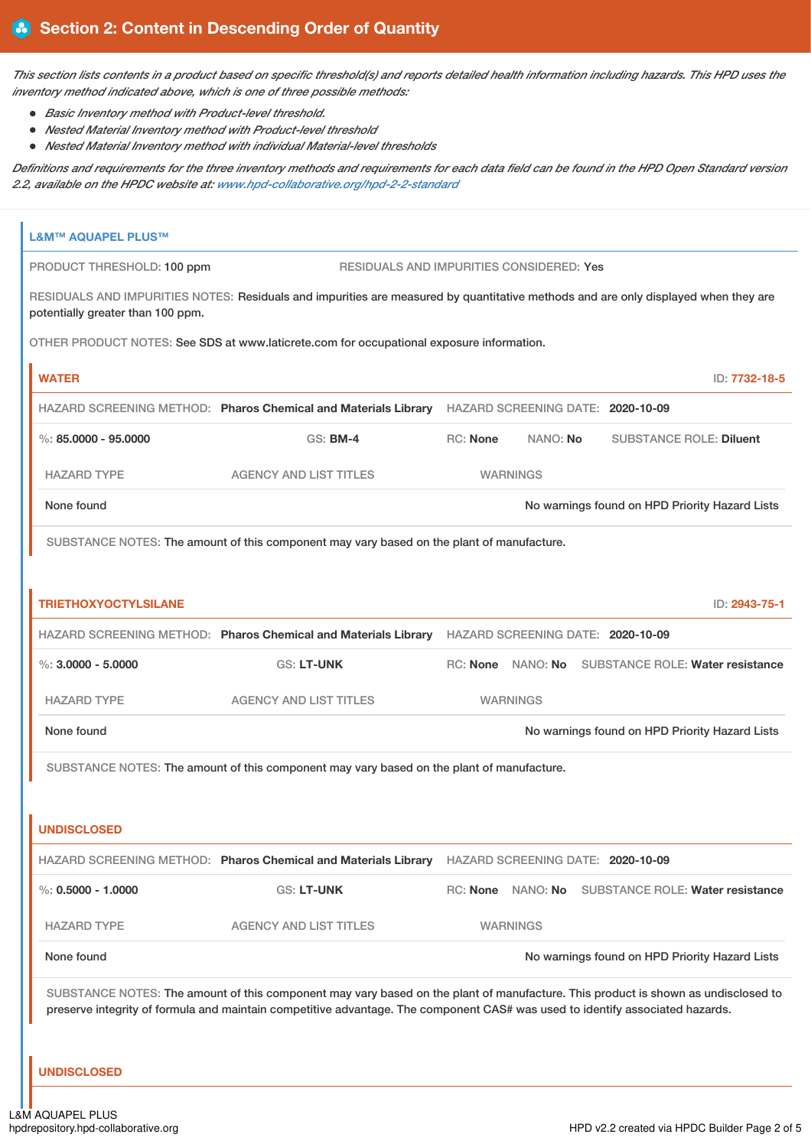This section lists contents in a product based on specific threshold(s) and reports detailed health information including hazards. This HPD uses the *inventory method indicated above, which is one of three possible methods:*

- *Basic Inventory method with Product-level threshold.*
- *Nested Material Inventory method with Product-level threshold*
- *Nested Material Inventory method with individual Material-level thresholds*

Definitions and requirements for the three inventory methods and requirements for each data field can be found in the HPD Open Standard version *2.2, available on the HPDC website at: [www.hpd-collaborative.org/hpd-2-2-standard](https://www.hpd-collaborative.org/hpd-2-2-standard)*

| <b>L&amp;M™ AQUAPEL PLUS™</b>     |                                                                                                                                                                                                                                                                    |                                                                                                  |                   |                                                    |  |
|-----------------------------------|--------------------------------------------------------------------------------------------------------------------------------------------------------------------------------------------------------------------------------------------------------------------|--------------------------------------------------------------------------------------------------|-------------------|----------------------------------------------------|--|
| PRODUCT THRESHOLD: 100 ppm        | RESIDUALS AND IMPURITIES CONSIDERED: Yes                                                                                                                                                                                                                           |                                                                                                  |                   |                                                    |  |
| potentially greater than 100 ppm. | RESIDUALS AND IMPURITIES NOTES: Residuals and impurities are measured by quantitative methods and are only displayed when they are                                                                                                                                 |                                                                                                  |                   |                                                    |  |
|                                   | OTHER PRODUCT NOTES: See SDS at www.laticrete.com for occupational exposure information.                                                                                                                                                                           |                                                                                                  |                   |                                                    |  |
| <b>WATER</b>                      |                                                                                                                                                                                                                                                                    |                                                                                                  |                   | ID: 7732-18-5                                      |  |
|                                   | HAZARD SCREENING METHOD: Pharos Chemical and Materials Library HAZARD SCREENING DATE: 2020-10-09                                                                                                                                                                   |                                                                                                  |                   |                                                    |  |
| $\%$ : 85.0000 - 95.0000          | <b>GS: BM-4</b>                                                                                                                                                                                                                                                    | <b>RC: None</b>                                                                                  | NANO: No          | <b>SUBSTANCE ROLE: Diluent</b>                     |  |
| <b>HAZARD TYPE</b>                | <b>AGENCY AND LIST TITLES</b>                                                                                                                                                                                                                                      |                                                                                                  | <b>WARNINGS</b>   |                                                    |  |
| None found                        |                                                                                                                                                                                                                                                                    |                                                                                                  |                   | No warnings found on HPD Priority Hazard Lists     |  |
|                                   | SUBSTANCE NOTES: The amount of this component may vary based on the plant of manufacture.                                                                                                                                                                          |                                                                                                  |                   |                                                    |  |
|                                   |                                                                                                                                                                                                                                                                    |                                                                                                  |                   |                                                    |  |
| <b>TRIETHOXYOCTYLSILANE</b>       |                                                                                                                                                                                                                                                                    |                                                                                                  |                   | ID: 2943-75-1                                      |  |
|                                   | HAZARD SCREENING METHOD: Pharos Chemical and Materials Library HAZARD SCREENING DATE: 2020-10-09                                                                                                                                                                   |                                                                                                  |                   |                                                    |  |
| $\%$ : 3,0000 - 5,0000            | GS: LT-UNK                                                                                                                                                                                                                                                         |                                                                                                  |                   | RC: None NANO: No SUBSTANCE ROLE: Water resistance |  |
| <b>HAZARD TYPE</b>                | <b>AGENCY AND LIST TITLES</b>                                                                                                                                                                                                                                      |                                                                                                  | <b>WARNINGS</b>   |                                                    |  |
| None found                        |                                                                                                                                                                                                                                                                    | No warnings found on HPD Priority Hazard Lists                                                   |                   |                                                    |  |
|                                   | SUBSTANCE NOTES: The amount of this component may vary based on the plant of manufacture.                                                                                                                                                                          |                                                                                                  |                   |                                                    |  |
|                                   |                                                                                                                                                                                                                                                                    |                                                                                                  |                   |                                                    |  |
| <b>UNDISCLOSED</b>                |                                                                                                                                                                                                                                                                    |                                                                                                  |                   |                                                    |  |
|                                   |                                                                                                                                                                                                                                                                    | HAZARD SCREENING METHOD: Pharos Chemical and Materials Library HAZARD SCREENING DATE: 2020-10-09 |                   |                                                    |  |
| $\%$ : 0.5000 - 1.0000            | <b>GS: LT-UNK</b>                                                                                                                                                                                                                                                  |                                                                                                  | RC: None NANO: No | SUBSTANCE ROLE: Water resistance                   |  |
| <b>HAZARD TYPE</b>                | <b>AGENCY AND LIST TITLES</b>                                                                                                                                                                                                                                      |                                                                                                  | <b>WARNINGS</b>   |                                                    |  |
| None found                        |                                                                                                                                                                                                                                                                    | No warnings found on HPD Priority Hazard Lists                                                   |                   |                                                    |  |
|                                   | SUBSTANCE NOTES: The amount of this component may vary based on the plant of manufacture. This product is shown as undisclosed to<br>preserve integrity of formula and maintain competitive advantage. The component CAS# was used to identify associated hazards. |                                                                                                  |                   |                                                    |  |
| <b>UNDISCLOSED</b>                |                                                                                                                                                                                                                                                                    |                                                                                                  |                   |                                                    |  |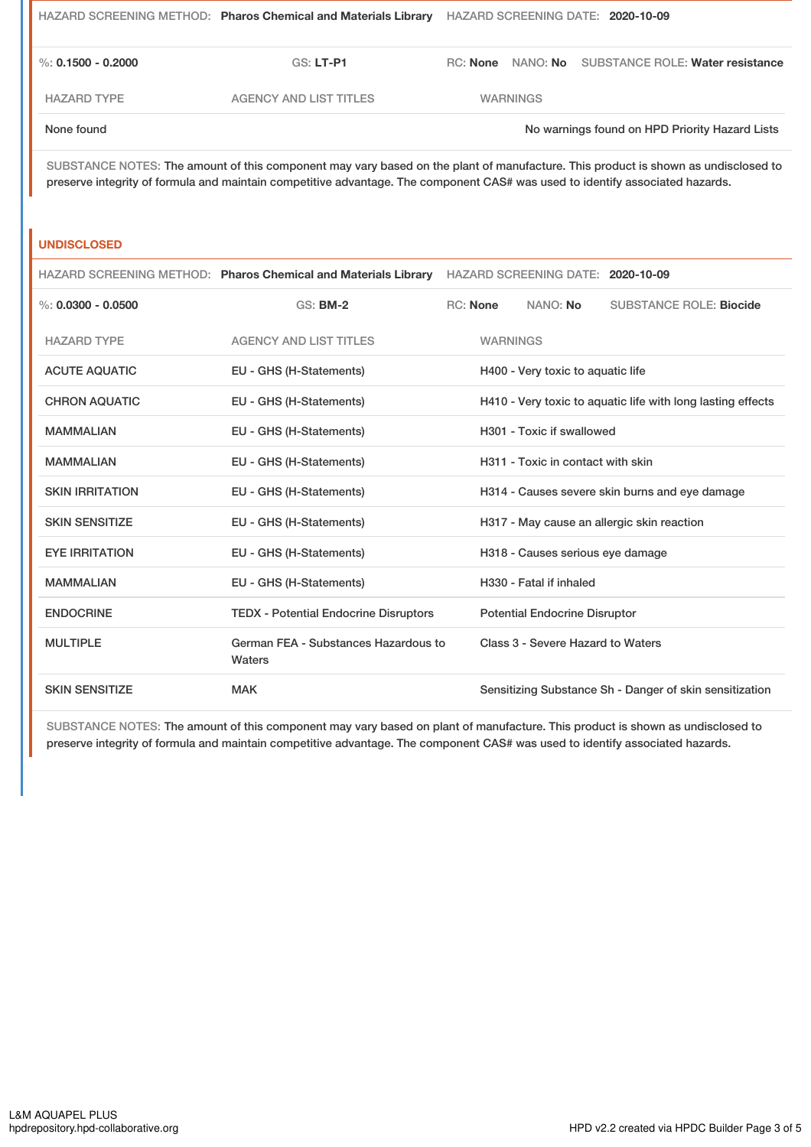|                    | HAZARD SCREENING METHOD: Pharos Chemical and Materials Library |          |                 | HAZARD SCREENING DATE: 2020-10-09              |
|--------------------|----------------------------------------------------------------|----------|-----------------|------------------------------------------------|
| %: 0.1500 - 0.2000 | GS: LT-P1                                                      | RC: None |                 | NANO: No SUBSTANCE ROLE: Water resistance      |
| <b>HAZARD TYPE</b> | AGENCY AND LIST TITLES                                         |          | <b>WARNINGS</b> |                                                |
| None found         |                                                                |          |                 | No warnings found on HPD Priority Hazard Lists |

SUBSTANCE NOTES: The amount of this component may vary based on the plant of manufacture. This product is shown as undisclosed to preserve integrity of formula and maintain competitive advantage. The component CAS# was used to identify associated hazards.

## **UNDISCLOSED**

|                        |                                                | HAZARD SCREENING METHOD: Pharos Chemical and Materials Library HAZARD SCREENING DATE: 2020-10-09 |                 |                                      |                                                         |
|------------------------|------------------------------------------------|--------------------------------------------------------------------------------------------------|-----------------|--------------------------------------|---------------------------------------------------------|
| %: $0.0300 - 0.0500$   | <b>GS: BM-2</b>                                |                                                                                                  | RC: None        | NANO: No                             | <b>SUBSTANCE ROLE: Biocide</b>                          |
| <b>HAZARD TYPE</b>     | <b>AGENCY AND LIST TITLES</b>                  |                                                                                                  | <b>WARNINGS</b> |                                      |                                                         |
| <b>ACUTE AQUATIC</b>   | EU - GHS (H-Statements)                        | H400 - Very toxic to aquatic life                                                                |                 |                                      |                                                         |
| <b>CHRON AQUATIC</b>   | EU - GHS (H-Statements)                        | H410 - Very toxic to aquatic life with long lasting effects                                      |                 |                                      |                                                         |
| <b>MAMMALIAN</b>       | EU - GHS (H-Statements)                        |                                                                                                  |                 | H301 - Toxic if swallowed            |                                                         |
| <b>MAMMALIAN</b>       | EU - GHS (H-Statements)                        | H311 - Toxic in contact with skin                                                                |                 |                                      |                                                         |
| <b>SKIN IRRITATION</b> | EU - GHS (H-Statements)                        |                                                                                                  |                 |                                      | H314 - Causes severe skin burns and eye damage          |
| <b>SKIN SENSITIZE</b>  | EU - GHS (H-Statements)                        |                                                                                                  |                 |                                      | H317 - May cause an allergic skin reaction              |
| <b>EYE IRRITATION</b>  | EU - GHS (H-Statements)                        |                                                                                                  |                 | H318 - Causes serious eye damage     |                                                         |
| <b>MAMMALIAN</b>       | EU - GHS (H-Statements)                        |                                                                                                  |                 | H330 - Fatal if inhaled              |                                                         |
| <b>ENDOCRINE</b>       | <b>TEDX - Potential Endocrine Disruptors</b>   |                                                                                                  |                 | <b>Potential Endocrine Disruptor</b> |                                                         |
| <b>MULTIPLE</b>        | German FEA - Substances Hazardous to<br>Waters | Class 3 - Severe Hazard to Waters                                                                |                 |                                      |                                                         |
| <b>SKIN SENSITIZE</b>  | <b>MAK</b>                                     |                                                                                                  |                 |                                      | Sensitizing Substance Sh - Danger of skin sensitization |

SUBSTANCE NOTES: The amount of this component may vary based on plant of manufacture. This product is shown as undisclosed to preserve integrity of formula and maintain competitive advantage. The component CAS# was used to identify associated hazards.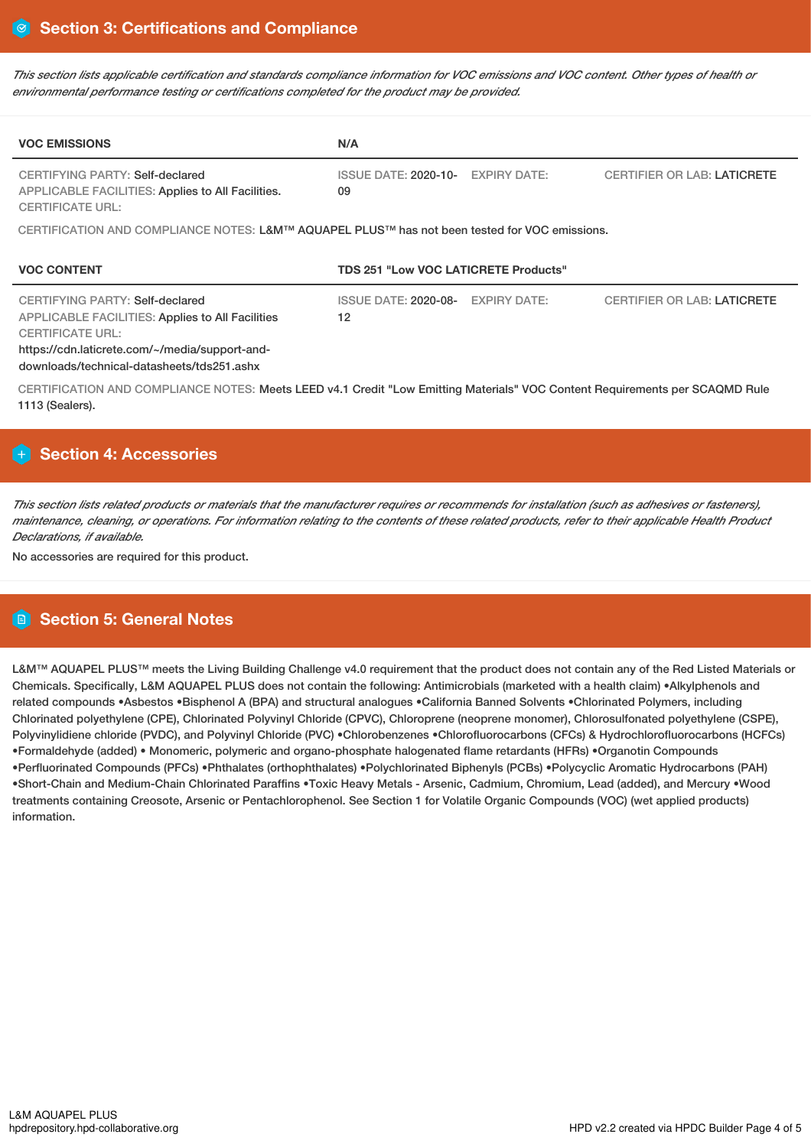This section lists applicable certification and standards compliance information for VOC emissions and VOC content. Other types of health or *environmental performance testing or certifications completed for the product may be provided.*

| <b>VOC EMISSIONS</b>                                                                                                                                                                                           | N/A                                         |                     |                                    |  |  |
|----------------------------------------------------------------------------------------------------------------------------------------------------------------------------------------------------------------|---------------------------------------------|---------------------|------------------------------------|--|--|
| CERTIFYING PARTY: Self-declared<br>APPLICABLE FACILITIES: Applies to All Facilities.<br><b>CERTIFICATE URL:</b>                                                                                                | ISSUE DATE: 2020-10-<br>09                  | <b>EXPIRY DATE:</b> | <b>CERTIFIER OR LAB: LATICRETE</b> |  |  |
| CERTIFICATION AND COMPLIANCE NOTES: L&M™ AQUAPEL PLUS™ has not been tested for VOC emissions.                                                                                                                  |                                             |                     |                                    |  |  |
| <b>VOC CONTENT</b>                                                                                                                                                                                             | <b>TDS 251 "Low VOC LATICRETE Products"</b> |                     |                                    |  |  |
| CERTIFYING PARTY: Self-declared<br>APPLICABLE FACILITIES: Applies to All Facilities<br><b>CERTIFICATE URL:</b><br>https://cdn.laticrete.com/~/media/support-and-<br>downloads/technical-datasheets/tds251.ashx | <b>ISSUE DATE: 2020-08-</b><br>12           | <b>EXPIRY DATE:</b> | <b>CERTIFIER OR LAB: LATICRETE</b> |  |  |
| CERTIFICATION AND COMPLIANCE NOTES: Meets LEED v4.1 Credit "Low Emitting Materials" VOC Content Requirements per SCAQMD Rule<br>1113 (Sealers).                                                                |                                             |                     |                                    |  |  |

# **Section 4: Accessories**

This section lists related products or materials that the manufacturer requires or recommends for installation (such as adhesives or fasteners), maintenance, cleaning, or operations. For information relating to the contents of these related products, refer to their applicable Health Product *Declarations, if available.*

No accessories are required for this product.

# **Section 5: General Notes**

L&M™ AQUAPEL PLUS™ meets the Living Building Challenge v4.0 requirement that the product does not contain any of the Red Listed Materials or Chemicals. Specifically, L&M AQUAPEL PLUS does not contain the following: Antimicrobials (marketed with a health claim) •Alkylphenols and related compounds •Asbestos •Bisphenol A (BPA) and structural analogues •California Banned Solvents •Chlorinated Polymers, including Chlorinated polyethylene (CPE), Chlorinated Polyvinyl Chloride (CPVC), Chloroprene (neoprene monomer), Chlorosulfonated polyethylene (CSPE), Polyvinylidiene chloride (PVDC), and Polyvinyl Chloride (PVC) •Chlorobenzenes •Chlorofluorocarbons (CFCs) & Hydrochlorofluorocarbons (HCFCs) •Formaldehyde (added) • Monomeric, polymeric and organo-phosphate halogenated flame retardants (HFRs) •Organotin Compounds •Perfluorinated Compounds (PFCs) •Phthalates (orthophthalates) •Polychlorinated Biphenyls (PCBs) •Polycyclic Aromatic Hydrocarbons (PAH) •Short-Chain and Medium-Chain Chlorinated Paraffins •Toxic Heavy Metals - Arsenic, Cadmium, Chromium, Lead (added), and Mercury •Wood treatments containing Creosote, Arsenic or Pentachlorophenol. See Section 1 for Volatile Organic Compounds (VOC) (wet applied products) information.